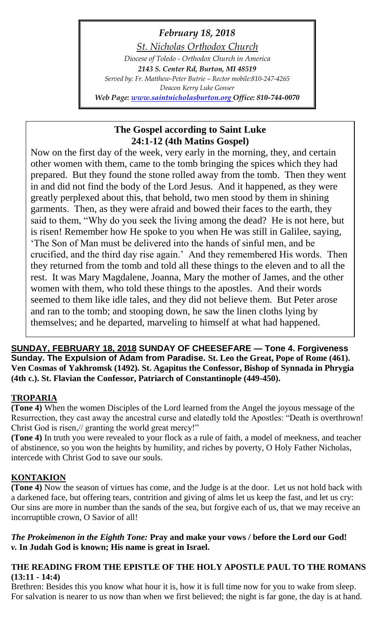# *February 18, 2018*

*St. Nicholas Orthodox Church Diocese of Toledo - Orthodox Church in America 2143 S. Center Rd, Burton, MI 48519 Served by: Fr. Matthew-Peter Butrie – Rector mobile:810-247-4265 Deacon Kerry Luke Gonser Web Page: [www.saintnicholasburton.org](http://www.saintnicholasburton.org/) Office: 810-744-0070*

# **The Gospel according to Saint Luke 24:1-12 (4th Matins Gospel)**

Now on the first day of the week, very early in the morning, they, and certain other women with them, came to the tomb bringing the spices which they had prepared. But they found the stone rolled away from the tomb. Then they went in and did not find the body of the Lord Jesus. And it happened, as they were greatly perplexed about this, that behold, two men stood by them in shining garments. Then, as they were afraid and bowed their faces to the earth, they said to them, "Why do you seek the living among the dead? He is not here, but is risen! Remember how He spoke to you when He was still in Galilee, saying, 'The Son of Man must be delivered into the hands of sinful men, and be crucified, and the third day rise again.' And they remembered His words. Then they returned from the tomb and told all these things to the eleven and to all the rest. It was Mary Magdalene, Joanna, Mary the mother of James, and the other women with them, who told these things to the apostles. And their words seemed to them like idle tales, and they did not believe them. But Peter arose and ran to the tomb; and stooping down, he saw the linen cloths lying by themselves; and he departed, marveling to himself at what had happened.

**SUNDAY, FEBRUARY 18, 2018 SUNDAY OF CHEESEFARE — Tone 4. Forgiveness Sunday. The Expulsion of Adam from Paradise. St. Leo the Great, Pope of Rome (461). Ven Cosmas of Yakhromsk (1492). St. Agapitus the Confessor, Bishop of Synnada in Phrygia (4th c.). St. Flavian the Confessor, Patriarch of Constantinople (449-450).**

# **TROPARIA**

**(Tone 4)** When the women Disciples of the Lord learned from the Angel the joyous message of the Resurrection, they cast away the ancestral curse and elatedly told the Apostles: "Death is overthrown! Christ God is risen,// granting the world great mercy!"

**(Tone 4)** In truth you were revealed to your flock as a rule of faith, a model of meekness, and teacher of abstinence, so you won the heights by humility, and riches by poverty, O Holy Father Nicholas, intercede with Christ God to save our souls.

## **KONTAKION**

**(Tone 4)** Now the season of virtues has come, and the Judge is at the door. Let us not hold back with a darkened face, but offering tears, contrition and giving of alms let us keep the fast, and let us cry: Our sins are more in number than the sands of the sea, but forgive each of us, that we may receive an incorruptible crown, O Savior of all!

### *The Prokeimenon in the Eighth Tone:* **Pray and make your vows / before the Lord our God!** *v.* **In Judah God is known; His name is great in Israel.**

## **THE READING FROM THE EPISTLE OF THE HOLY APOSTLE PAUL TO THE ROMANS (13:11 - 14:4)**

Brethren: Besides this you know what hour it is, how it is full time now for you to wake from sleep. For salvation is nearer to us now than when we first believed; the night is far gone, the day is at hand.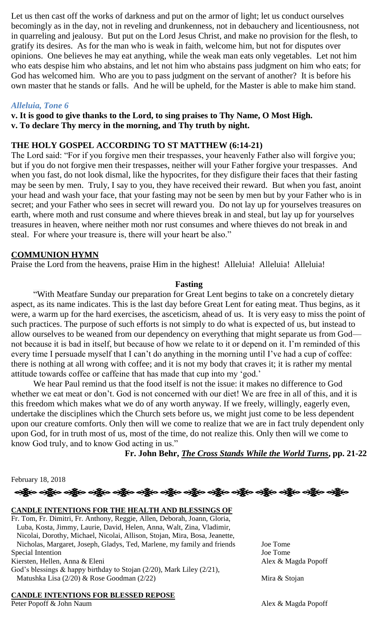Let us then cast off the works of darkness and put on the armor of light; let us conduct ourselves becomingly as in the day, not in reveling and drunkenness, not in debauchery and licentiousness, not in quarreling and jealousy. But put on the Lord Jesus Christ, and make no provision for the flesh, to gratify its desires. As for the man who is weak in faith, welcome him, but not for disputes over opinions. One believes he may eat anything, while the weak man eats only vegetables. Let not him who eats despise him who abstains, and let not him who abstains pass judgment on him who eats; for God has welcomed him. Who are you to pass judgment on the servant of another? It is before his own master that he stands or falls. And he will be upheld, for the Master is able to make him stand.

#### *Alleluia, Tone 6*

**v. It is good to give thanks to the Lord, to sing praises to Thy Name, O Most High. v. To declare Thy mercy in the morning, and Thy truth by night.**

#### **THE HOLY GOSPEL ACCORDING TO ST MATTHEW (6:14-21)**

The Lord said: "For if you forgive men their trespasses, your heavenly Father also will forgive you; but if you do not forgive men their trespasses, neither will your Father forgive your trespasses. And when you fast, do not look dismal, like the hypocrites, for they disfigure their faces that their fasting may be seen by men. Truly, I say to you, they have received their reward. But when you fast, anoint your head and wash your face, that your fasting may not be seen by men but by your Father who is in secret; and your Father who sees in secret will reward you. Do not lay up for yourselves treasures on earth, where moth and rust consume and where thieves break in and steal, but lay up for yourselves treasures in heaven, where neither moth nor rust consumes and where thieves do not break in and steal. For where your treasure is, there will your heart be also."

#### **COMMUNION HYMN**

Praise the Lord from the heavens, praise Him in the highest! Alleluia! Alleluia! Alleluia!

#### **Fasting**

"With Meatfare Sunday our preparation for Great Lent begins to take on a concretely dietary aspect, as its name indicates. This is the last day before Great Lent for eating meat. Thus begins, as it were, a warm up for the hard exercises, the asceticism, ahead of us. It is very easy to miss the point of such practices. The purpose of such efforts is not simply to do what is expected of us, but instead to allow ourselves to be weaned from our dependency on everything that might separate us from God not because it is bad in itself, but because of how we relate to it or depend on it. I'm reminded of this every time I persuade myself that I can't do anything in the morning until I've had a cup of coffee: there is nothing at all wrong with coffee; and it is not my body that craves it; it is rather my mental attitude towards coffee or caffeine that has made that cup into my 'god.'

We hear Paul remind us that the food itself is not the issue: it makes no difference to God whether we eat meat or don't. God is not concerned with our diet! We are free in all of this, and it is this freedom which makes what we do of any worth anyway. If we freely, willingly, eagerly even, undertake the disciplines which the Church sets before us, we might just come to be less dependent upon our creature comforts. Only then will we come to realize that we are in fact truly dependent only upon God, for in truth most of us, most of the time, do not realize this. Only then will we come to know God truly, and to know God acting in us."

**Fr. John Behr,** *[The Cross Stands While the World Turns](https://www.amazon.com/Cross-Stands-While-World-Turns/dp/0881414956)***, pp. 21-22**

February 18, 2018



#### **CANDLE INTENTIONS FOR THE HEALTH AND BLESSINGS OF**

Fr. Tom, Fr. Dimitri, Fr. Anthony, Reggie, Allen, Deborah, Joann, Gloria, Luba, Kosta, Jimmy, Laurie, David, Helen, Anna, Walt, Zina, Vladimir, Nicolai, Dorothy, Michael, Nicolai, Allison, Stojan, Mira, Bosa, Jeanette, Nicholas, Margaret, Joseph, Gladys, Ted, Marlene, my family and friends Joe Tome Special Intention Joe Tome Kiersten, Hellen, Anna & Eleni Alex & Magda Popoff God's blessings & happy birthday to Stojan (2/20), Mark Liley (2/21), Matushka Lisa (2/20) & Rose Goodman (2/22) Mira & Stojan

### **CANDLE INTENTIONS FOR BLESSED REPOSE**

Peter Popoff & John Naum Alex & Magda Popoff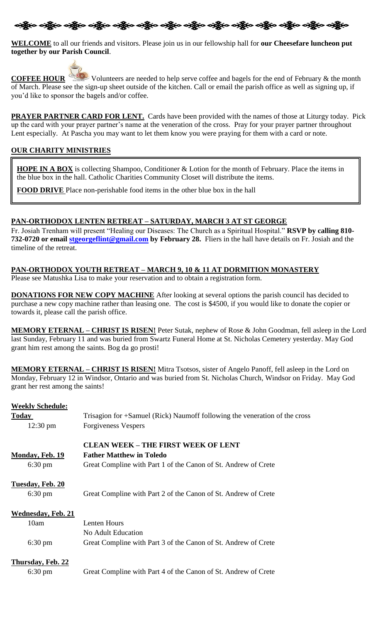

**WELCOME** to all our friends and visitors. Please join us in our fellowship hall for **our Cheesefare luncheon put together by our Parish Council**.



**COFFEE HOUR** Volunteers are needed to help serve coffee and bagels for the end of February & the month of March. Please see the sign-up sheet outside of the kitchen. Call or email the parish office as well as signing up, if you'd like to sponsor the bagels and/or coffee.

**PRAYER PARTNER CARD FOR LENT.** Cards have been provided with the names of those at Liturgy today. Pick up the card with your prayer partner's name at the veneration of the cross. Pray for your prayer partner throughout Lent especially. At Pascha you may want to let them know you were praying for them with a card or note.

#### **OUR CHARITY MINISTRIES**

**HOPE IN A BOX** is collecting Shampoo, Conditioner & Lotion for the month of February. Place the items in the blue box in the hall. Catholic Charities Community Closet will distribute the items.

**FOOD DRIVE** Place non-perishable food items in the other blue box in the hall

#### **PAN-ORTHODOX LENTEN RETREAT – SATURDAY, MARCH 3 AT ST GEORGE**

Fr. Josiah Trenham will present "Healing our Diseases: The Church as a Spiritual Hospital." **RSVP by calling 810- 732-0720 or email [stgeorgeflint@gmail.com](mailto:stgeorgeflint@gmail.com) by February 28.** Fliers in the hall have details on Fr. Josiah and the timeline of the retreat.

#### **PAN-ORTHODOX YOUTH RETREAT – MARCH 9, 10 & 11 AT DORMITION MONASTERY**

Please see Matushka Lisa to make your reservation and to obtain a registration form.

**DONATIONS FOR NEW COPY MACHINE** After looking at several options the parish council has decided to purchase a new copy machine rather than leasing one. The cost is \$4500, if you would like to donate the copier or towards it, please call the parish office.

**MEMORY ETERNAL – CHRIST IS RISEN!** Peter Sutak, nephew of Rose & John Goodman, fell asleep in the Lord last Sunday, February 11 and was buried from Swartz Funeral Home at St. Nicholas Cemetery yesterday. May God grant him rest among the saints. Bog da go prosti!

**MEMORY ETERNAL – CHRIST IS RISEN!** Mitra Tsotsos, sister of Angelo Panoff, fell asleep in the Lord on Monday, February 12 in Windsor, Ontario and was buried from St. Nicholas Church, Windsor on Friday. May God grant her rest among the saints!

#### **Weekly Schedule:**

| <b>Today</b>              | Trisagion for +Samuel (Rick) Naumoff following the veneration of the cross |  |
|---------------------------|----------------------------------------------------------------------------|--|
| $12:30 \text{ pm}$        | <b>Forgiveness Vespers</b>                                                 |  |
|                           | <b>CLEAN WEEK - THE FIRST WEEK OF LENT</b>                                 |  |
| <b>Monday, Feb. 19</b>    | <b>Father Matthew in Toledo</b>                                            |  |
| 6:30 pm                   | Great Compline with Part 1 of the Canon of St. Andrew of Crete             |  |
| Tuesday, Feb. 20          |                                                                            |  |
| $6:30 \text{ pm}$         | Great Compline with Part 2 of the Canon of St. Andrew of Crete             |  |
| <b>Wednesday, Feb. 21</b> |                                                                            |  |
| 10am                      | Lenten Hours                                                               |  |
|                           | No Adult Education                                                         |  |
| $6:30 \text{ pm}$         | Great Compline with Part 3 of the Canon of St. Andrew of Crete             |  |
| <b>Thursday, Feb. 22</b>  |                                                                            |  |
| $6:30 \text{ pm}$         | Great Compline with Part 4 of the Canon of St. Andrew of Crete             |  |
|                           |                                                                            |  |